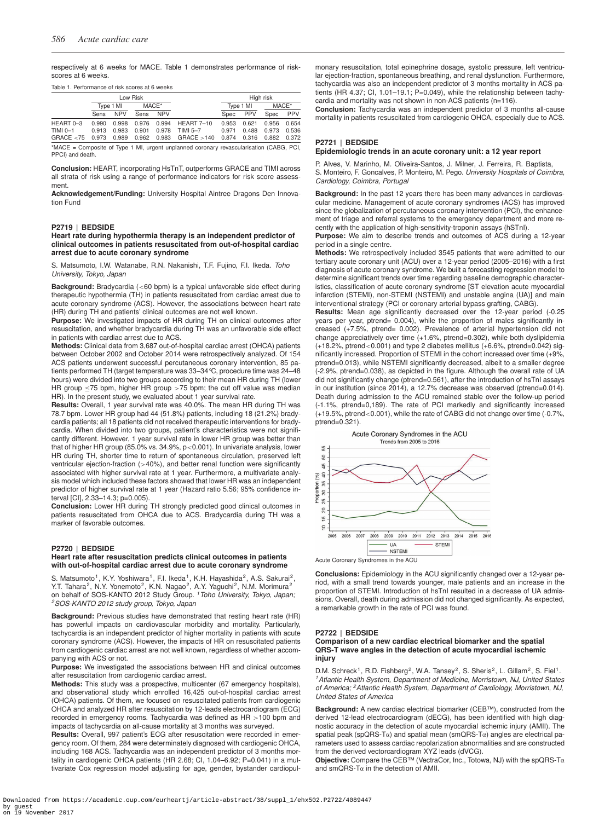respectively at 6 weeks for MACE. Table 1 demonstrates performance of riskscores at 6 weeks.

# Table 1. Performance of risk scores at 6 weeks

|                                                                                         | Low Risk    |            |       |            |                   |       | High risk  |       |            |  |
|-----------------------------------------------------------------------------------------|-------------|------------|-------|------------|-------------------|-------|------------|-------|------------|--|
|                                                                                         | Type 1 MI   |            | MACE* |            |                   |       | Type 1 MI  |       | MACE*      |  |
|                                                                                         | <b>Sens</b> | <b>NPV</b> | Sens  | <b>NPV</b> |                   | Spec  | <b>PPV</b> | Spec  | <b>PPV</b> |  |
| HEART 0-3                                                                               | 0.990       | 0.998      | 0.976 | 0.994      | <b>HEART 7-10</b> | 0.953 | 0.621      | 0.956 | 0.654      |  |
| TIMI 0-1                                                                                | 0.913       | 0.983      | 0.901 | 0.978      | TIMI 5-7          | 0.971 | 0.488      | 0.973 | 0.536      |  |
| GRACE < 75                                                                              | 0.973       | 0.989      | 0.962 | 0.983      | GRACE > 140       | 0.874 | 0.316      | 0.882 | 0.372      |  |
| *MACE = Composite of Type 1 MI, urgent unplanned coronary revascularisation (CABG, PCI, |             |            |       |            |                   |       |            |       |            |  |
| PPCI) and death.                                                                        |             |            |       |            |                   |       |            |       |            |  |

**Conclusion:** HEART, incorporating HsTnT, outperforms GRACE and TIMI across all strata of risk using a range of performance indicators for risk score assessment.

**Acknowledgement/Funding:** University Hospital Aintree Dragons Den Innovation Fund

### **P2719 | BEDSIDE**

#### **Heart rate during hypothermia therapy is an independent predictor of clinical outcomes in patients resuscitated from out-of-hospital cardiac arrest due to acute coronary syndrome**

S. Matsumoto, I.W. Watanabe, R.N. Nakanishi, T.F. Fujino, F.I. Ikeda. *Toho University, Tokyo, Japan*

**Background:** Bradycardia (<60 bpm) is a typical unfavorable side effect during therapeutic hypothermia (TH) in patients resuscitated from cardiac arrest due to acute coronary syndrome (ACS). However, the associations between heart rate (HR) during TH and patients' clinical outcomes are not well known.

**Purpose:** We investigated impacts of HR during TH on clinical outcomes after resuscitation, and whether bradycardia during TH was an unfavorable side effect in patients with cardiac arrest due to ACS.

**Methods:** Clinical data from 3,687 out-of-hospital cardiac arrest (OHCA) patients between October 2002 and October 2014 were retrospectively analyzed. Of 154 ACS patients underwent successful percutaneous coronary intervention, 85 patients performed TH (target temperature was 33–34°C, procedure time was 24–48 hours) were divided into two groups according to their mean HR during TH (lower HR group ≤75 bpm, higher HR group >75 bpm; the cut off value was median HR). In the present study, we evaluated about 1 year survival rate.

**Results:** Overall, 1 year survival rate was 40.0%. The mean HR during TH was 78.7 bpm. Lower HR group had 44 (51.8%) patients, including 18 (21.2%) bradycardia patients; all 18 patients did not received therapeutic interventions for bradycardia. When divided into two groups, patient's characteristics were not significantly different. However, 1 year survival rate in lower HR group was better than that of higher HR group (85.0% vs. 34.9%, p<0.001). In univariate analysis, lower HR during TH, shorter time to return of spontaneous circulation, preserved left ventricular ejection-fraction (>40%), and better renal function were significantly associated with higher survival rate at 1 year. Furthermore, a multivariate analysis model which included these factors showed that lower HR was an independent predictor of higher survival rate at 1 year (Hazard ratio 5.56; 95% confidence interval [CI], 2.33–14.3; p=0.005).

**Conclusion:** Lower HR during TH strongly predicted good clinical outcomes in patients resuscitated from OHCA due to ACS. Bradycardia during TH was a marker of favorable outcomes.

#### **P2720 | BEDSIDE**

### **Heart rate after resuscitation predicts clinical outcomes in patients with out-of-hospital cardiac arrest due to acute coronary syndrome**

S. Matsumoto<sup>1</sup>, K.Y. Yoshiwara<sup>1</sup>, F.I. Ikeda<sup>1</sup>, K.H. Hayashida<sup>2</sup>, A.S. Sakurai<sup>2</sup>, Y.T. Tahara<sup>2</sup>, N.Y. Yonemoto<sup>2</sup>, K.N. Nagao<sup>2</sup>, A.Y. Yaguchi<sup>2</sup>, N.M. Morimura<sup>2</sup> on behalf of SOS-KANTO 2012 Study Group. *1Toho University, Tokyo, Japan; 2SOS-KANTO 2012 study group, Tokyo, Japan*

**Background:** Previous studies have demonstrated that resting heart rate (HR) has powerful impacts on cardiovascular morbidity and mortality. Particularly, tachycardia is an independent predictor of higher mortality in patients with acute coronary syndrome (ACS). However, the impacts of HR on resuscitated patients from cardiogenic cardiac arrest are not well known, regardless of whether accompanying with ACS or not.

**Purpose:** We investigated the associations between HR and clinical outcomes after resuscitation from cardiogenic cardiac arrest.

**Methods:** This study was a prospective, multicenter (67 emergency hospitals), and observational study which enrolled 16,425 out-of-hospital cardiac arrest (OHCA) patients. Of them, we focused on resuscitated patients from cardiogenic OHCA and analyzed HR after resuscitation by 12-leads electrocardiogram (ECG) recorded in emergency rooms. Tachycardia was defined as HR >100 bpm and impacts of tachycardia on all-cause mortality at 3 months was surveyed.

**Results:** Overall, 997 patient's ECG after resuscitation were recorded in emergency room. Of them, 284 were determinately diagnosed with cardiogenic OHCA, including 168 ACS. Tachycardia was an independent predictor of 3 months mortality in cardiogenic OHCA patients (HR 2.68; CI, 1.04-6.92; P=0.041) in a multivariate Cox regression model adjusting for age, gender, bystander cardiopulmonary resuscitation, total epinephrine dosage, systolic pressure, left ventricular ejection-fraction, spontaneous breathing, and renal dysfunction. Furthermore, tachycardia was also an independent predictor of 3 months mortality in ACS patients (HR 4.37; CI, 1.01–19.1; P=0.049), while the relationship between tachycardia and mortality was not shown in non-ACS patients (n=116).

**Conclusion:** Tachycardia was an independent predictor of 3 months all-cause mortality in patients resuscitated from cardiogenic OHCA, especially due to ACS.

# **P2721 | BEDSIDE**

### **Epidemiologic trends in an acute coronary unit: a 12 year report**

P. Alves, V. Marinho, M. Oliveira-Santos, J. Milner, J. Ferreira, R. Baptista, S. Monteiro, F. Goncalves, P. Monteiro, M. Pego. *University Hospitals of Coimbra, Cardiology, Coimbra, Portugal*

**Background:** In the past 12 years there has been many advances in cardiovascular medicine. Management of acute coronary syndromes (ACS) has improved since the globalization of percutaneous coronary intervention (PCI), the enhancement of triage and referral systems to the emergency department and more recently with the application of high-sensitivity-troponin assays (hSTnI).

**Purpose:** We aim to describe trends and outcomes of ACS during a 12-year period in a single centre.

**Methods:** We retrospectively included 3545 patients that were admitted to our tertiary acute coronary unit (ACU) over a 12-year period (2005–2016) with a first diagnosis of acute coronary syndrome. We built a forecasting regression model to determine significant trends over time regarding baseline demographic characteristics, classification of acute coronary syndrome [ST elevation acute myocardial infarction (STEMI), non-STEMI (NSTEMI) and unstable angina (UA)] and main interventional strategy (PCI or coronary arterial bypass grafting, CABG).

**Results:** Mean age significantly decreased over the 12-year period (-0.25 years per year, ptrend= 0.004), while the proportion of males significantly increased (+7.5%, ptrend= 0.002). Prevalence of arterial hypertension did not change appreciatively over time (+1.6%, ptrend=0.302), while both dyslipidemia  $(+18.2\%$ , ptrend<0.001) and type 2 diabetes mellitus  $(+6.6\%$ , ptrend=0.042) significantly increased. Proportion of STEMI in the cohort increased over time (+9%, ptrend=0.013), while NSTEMI significantly decreased, albeit to a smaller degree (-2.9%, ptrend=0.038), as depicted in the figure. Although the overall rate of UA did not significantly change (ptrend=0.561), after the introduction of hsTnI assays in our institution (since 2014), a 12.7% decrease was observed (ptrend=0.014). Death during admission to the ACU remained stable over the follow-up period (-1.1%, ptrend=0,189). The rate of PCI markedly and significantly increased (+19.5%, ptrend<0.001), while the rate of CABG did not change over time (-0.7%, ptrend=0.321).



**Conclusions:** Epidemiology in the ACU significantly changed over a 12-year period, with a small trend towards younger, male patients and an increase in the proportion of STEMI. Introduction of hsTnI resulted in a decrease of UA admissions. Overall, death during admission did not changed significantly. As expected, a remarkable growth in the rate of PCI was found.

#### **P2722 | BEDSIDE**

### **Comparison of a new cardiac electrical biomarker and the spatial QRS-T wave angles in the detection of acute myocardial ischemic injury**

D.M. Schreck<sup>1</sup>, R.D. Fishberg<sup>2</sup>, W.A. Tansey<sup>2</sup>, S. Sheris<sup>2</sup>, L. Gillam<sup>2</sup>, S. Fiel<sup>1</sup>. *1Atlantic Health System, Department of Medicine, Morristown, NJ, United States of America; 2Atlantic Health System, Department of Cardiology, Morristown, NJ, United States of America*

**Background:** A new cardiac electrical biomarker (CEB™), constructed from the derived 12-lead electrocardiogram (dECG), has been identified with high diagnostic accuracy in the detection of acute myocardial ischemic injury (AMII). The spatial peak (spQRS-Tα) and spatial mean (smQRS-Tα) angles are electrical parameters used to assess cardiac repolarization abnormalities and are constructed from the derived vectorcardiogram XYZ leads (dVCG).

**Objective:** Compare the CEB™ (VectraCor, Inc., Totowa, NJ) with the spQRS-Tα and smQRS-T $\alpha$  in the detection of AMII.